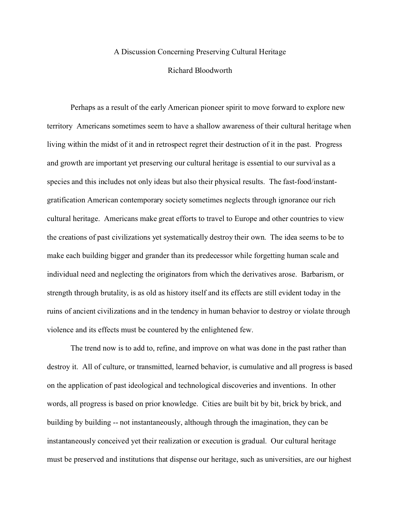## A Discussion Concerning Preserving Cultural Heritage

## Richard Bloodworth

Perhaps as a result of the early American pioneer spirit to move forward to explore new territory Americans sometimes seem to have a shallow awareness of their cultural heritage when living within the midst of it and in retrospect regret their destruction of it in the past. Progress and growth are important yet preserving our cultural heritage is essential to our survival as a species and this includes not only ideas but also their physical results. The fast-food/instantgratification American contemporary society sometimes neglects through ignorance our rich cultural heritage. Americans make great efforts to travel to Europe and other countries to view the creations of past civilizations yet systematically destroy their own. The idea seems to be to make each building bigger and grander than its predecessor while forgetting human scale and individual need and neglecting the originators from which the derivatives arose. Barbarism, or strength through brutality, is as old as history itself and its effects are still evident today in the ruins of ancient civilizations and in the tendency in human behavior to destroy or violate through violence and its effects must be countered by the enlightened few.

The trend now is to add to, refine, and improve on what was done in the past rather than destroy it. All of culture, or transmitted, learned behavior, is cumulative and all progress is based on the application of past ideological and technological discoveries and inventions. In other words, all progress is based on prior knowledge. Cities are built bit by bit, brick by brick, and building by building -- not instantaneously, although through the imagination, they can be instantaneously conceived yet their realization or execution is gradual. Our cultural heritage must be preserved and institutions that dispense our heritage, such as universities, are our highest